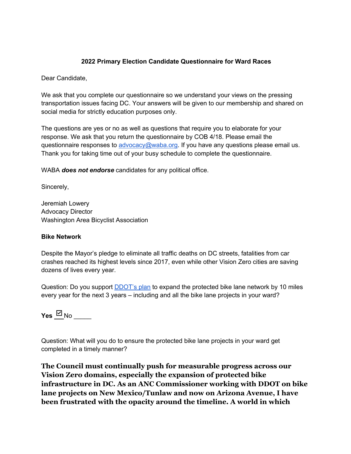#### **2022 Primary Election Candidate Questionnaire for Ward Races**

Dear Candidate,

We ask that you complete our questionnaire so we understand your views on the pressing transportation issues facing DC. Your answers will be given to our membership and shared on social media for strictly education purposes only.

The questions are yes or no as well as questions that require you to elaborate for your response. We ask that you return the questionnaire by COB 4/18. Please email the questionnaire responses to advocacy@waba.org. If you have any questions please email us. Thank you for taking time out of your busy schedule to complete the questionnaire.

WABA *does not endorse* candidates for any political office.

Sincerely,

Jeremiah Lowery Advocacy Director Washington Area Bicyclist Association

#### **Bike Network**

Despite the Mayor's pledge to eliminate all traffic deaths on DC streets, fatalities from car crashes reached its highest levels since 2017, even while other Vision Zero cities are saving dozens of lives every year.

Question: Do you support DDOT's plan to expand the protected bike lane network by 10 miles every year for the next 3 years – including and all the bike lane projects in your ward?

**Yes**  $\frac{□}{□}$ No  $\_\_$ 

Question: What will you do to ensure the protected bike lane projects in your ward get completed in a timely manner?

**The Council must continually push for measurable progress across our Vision Zero domains, especially the expansion of protected bike infrastructure in DC. As an ANC Commissioner working with DDOT on bike lane projects on New Mexico/Tunlaw and now on Arizona Avenue, I have been frustrated with the opacity around the timeline. A world in which**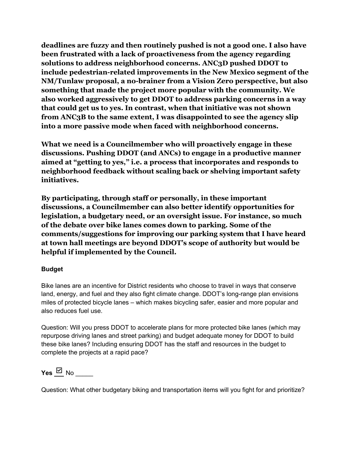**deadlines are fuzzy and then routinely pushed is not a good one. I also have been frustrated with a lack of proactiveness from the agency regarding solutions to address neighborhood concerns. ANC3D pushed DDOT to include pedestrian-related improvements in the New Mexico segment of the NM/Tunlaw proposal, a no-brainer from a Vision Zero perspective, but also something that made the project more popular with the community. We also worked aggressively to get DDOT to address parking concerns in a way that could get us to yes. In contrast, when that initiative was not shown from ANC3B to the same extent, I was disappointed to see the agency slip into a more passive mode when faced with neighborhood concerns.** 

**What we need is a Councilmember who will proactively engage in these discussions. Pushing DDOT (and ANCs) to engage in a productive manner aimed at "getting to yes," i.e. a process that incorporates and responds to neighborhood feedback without scaling back or shelving important safety initiatives.** 

**By participating, through staff or personally, in these important discussions, a Councilmember can also better identify opportunities for legislation, a budgetary need, or an oversight issue. For instance, so much of the debate over bike lanes comes down to parking. Some of the comments/suggestions for improving our parking system that I have heard at town hall meetings are beyond DDOT's scope of authority but would be helpful if implemented by the Council.** 

### **Budget**

Bike lanes are an incentive for District residents who choose to travel in ways that conserve land, energy, and fuel and they also fight climate change. DDOT's long-range plan envisions miles of protected bicycle lanes – which makes bicycling safer, easier and more popular and also reduces fuel use.

Question: Will you press DDOT to accelerate plans for more protected bike lanes (which may repurpose driving lanes and street parking) and budget adequate money for DDOT to build these bike lanes? Including ensuring DDOT has the staff and resources in the budget to complete the projects at a rapid pace?

**Yes**  $\boxtimes$  No

Question: What other budgetary biking and transportation items will you fight for and prioritize?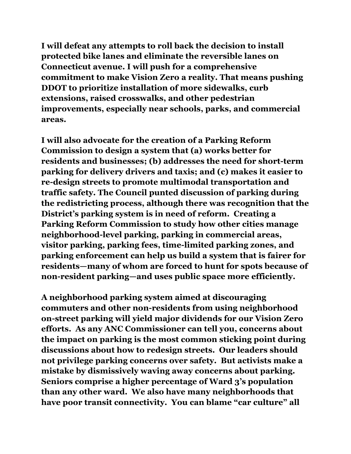**I will defeat any attempts to roll back the decision to install protected bike lanes and eliminate the reversible lanes on Connecticut avenue. I will push for a comprehensive commitment to make Vision Zero a reality. That means pushing DDOT to prioritize installation of more sidewalks, curb extensions, raised crosswalks, and other pedestrian improvements, especially near schools, parks, and commercial areas.** 

**I will also advocate for the creation of a Parking Reform Commission to design a system that (a) works better for residents and businesses; (b) addresses the need for short-term parking for delivery drivers and taxis; and (c) makes it easier to re-design streets to promote multimodal transportation and traffic safety. The Council punted discussion of parking during the redistricting process, although there was recognition that the District's parking system is in need of reform. Creating a Parking Reform Commission to study how other cities manage neighborhood-level parking, parking in commercial areas, visitor parking, parking fees, time-limited parking zones, and parking enforcement can help us build a system that is fairer for residents—many of whom are forced to hunt for spots because of non-resident parking—and uses public space more efficiently.** 

**A neighborhood parking system aimed at discouraging commuters and other non-residents from using neighborhood on-street parking will yield major dividends for our Vision Zero efforts. As any ANC Commissioner can tell you, concerns about the impact on parking is the most common sticking point during discussions about how to redesign streets. Our leaders should not privilege parking concerns over safety. But activists make a mistake by dismissively waving away concerns about parking. Seniors comprise a higher percentage of Ward 3's population than any other ward. We also have many neighborhoods that have poor transit connectivity. You can blame "car culture" all**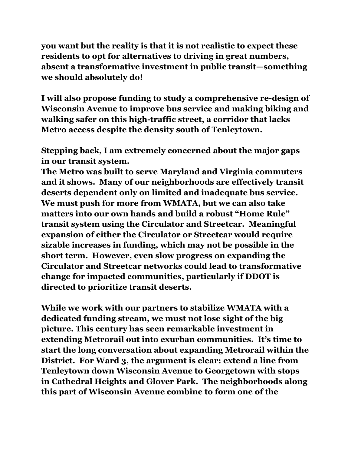**you want but the reality is that it is not realistic to expect these residents to opt for alternatives to driving in great numbers, absent a transformative investment in public transit—something we should absolutely do!**

**I will also propose funding to study a comprehensive re-design of Wisconsin Avenue to improve bus service and making biking and walking safer on this high-traffic street, a corridor that lacks Metro access despite the density south of Tenleytown.** 

**Stepping back, I am extremely concerned about the major gaps in our transit system.** 

**The Metro was built to serve Maryland and Virginia commuters and it shows. Many of our neighborhoods are effectively transit deserts dependent only on limited and inadequate bus service. We must push for more from WMATA, but we can also take matters into our own hands and build a robust "Home Rule" transit system using the Circulator and Streetcar. Meaningful expansion of either the Circulator or Streetcar would require sizable increases in funding, which may not be possible in the short term. However, even slow progress on expanding the Circulator and Streetcar networks could lead to transformative change for impacted communities, particularly if DDOT is directed to prioritize transit deserts.**

**While we work with our partners to stabilize WMATA with a dedicated funding stream, we must not lose sight of the big picture. This century has seen remarkable investment in extending Metrorail out into exurban communities. It's time to start the long conversation about expanding Metrorail within the District. For Ward 3, the argument is clear: extend a line from Tenleytown down Wisconsin Avenue to Georgetown with stops in Cathedral Heights and Glover Park. The neighborhoods along this part of Wisconsin Avenue combine to form one of the**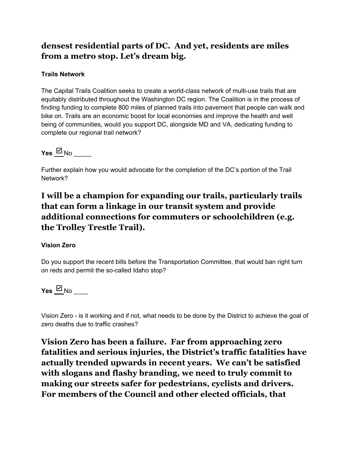# **densest residential parts of DC. And yet, residents are miles from a metro stop. Let's dream big.**

#### **Trails Network**

The Capital Trails Coalition seeks to create a world-class network of multi-use trails that are equitably distributed throughout the Washington DC region. The Coalition is in the process of finding funding to complete 800 miles of planned trails into pavement that people can walk and bike on. Trails are an economic boost for local economies and improve the health and well being of communities, would you support DC, alongside MD and VA, dedicating funding to complete our regional trail network?

 $Y$ es  $\boxdot$  No

Further explain how you would advocate for the completion of the DC's portion of the Trail Network?

# **I will be a champion for expanding our trails, particularly trails that can form a linkage in our transit system and provide additional connections for commuters or schoolchildren (e.g. the Trolley Trestle Trail).**

### **Vision Zero**

Do you support the recent bills before the Transportation Committee, that would ban right turn on reds and permit the so-called Idaho stop?

 $Y$ es  $\boxdot$  No  $\Box$ 

Vision Zero - is it working and if not, what needs to be done by the District to achieve the goal of zero deaths due to traffic crashes?

**Vision Zero has been a failure. Far from approaching zero fatalities and serious injuries, the District's traffic fatalities have actually trended upwards in recent years. We can't be satisfied with slogans and flashy branding, we need to truly commit to making our streets safer for pedestrians, cyclists and drivers. For members of the Council and other elected officials, that**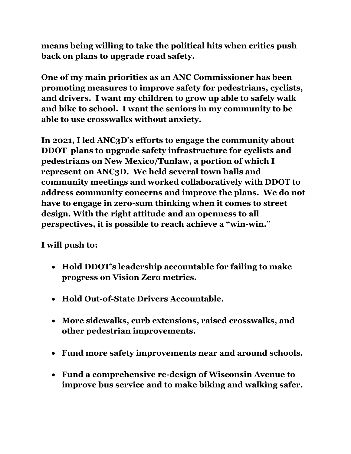**means being willing to take the political hits when critics push back on plans to upgrade road safety.** 

**One of my main priorities as an ANC Commissioner has been promoting measures to improve safety for pedestrians, cyclists, and drivers. I want my children to grow up able to safely walk and bike to school. I want the seniors in my community to be able to use crosswalks without anxiety.**

**In 2021, I led ANC3D's efforts to engage the community about DDOT plans to upgrade safety infrastructure for cyclists and pedestrians on New Mexico/Tunlaw, a portion of which I represent on ANC3D. We held several town halls and community meetings and worked collaboratively with DDOT to address community concerns and improve the plans. We do not have to engage in zero-sum thinking when it comes to street design. With the right attitude and an openness to all perspectives, it is possible to reach achieve a "win-win."**

**I will push to:**

- **Hold DDOT's leadership accountable for failing to make progress on Vision Zero metrics.**
- **Hold Out-of-State Drivers Accountable.**
- **More sidewalks, curb extensions, raised crosswalks, and other pedestrian improvements.**
- **Fund more safety improvements near and around schools.**
- **Fund a comprehensive re-design of Wisconsin Avenue to improve bus service and to make biking and walking safer.**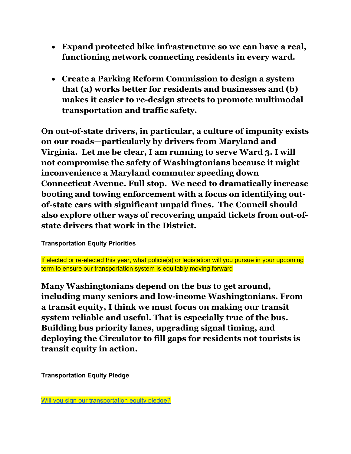- **Expand protected bike infrastructure so we can have a real, functioning network connecting residents in every ward.**
- **Create a Parking Reform Commission to design a system that (a) works better for residents and businesses and (b) makes it easier to re-design streets to promote multimodal transportation and traffic safety.**

**On out-of-state drivers, in particular, a culture of impunity exists on our roads—particularly by drivers from Maryland and Virginia. Let me be clear, I am running to serve Ward 3. I will not compromise the safety of Washingtonians because it might inconvenience a Maryland commuter speeding down Connecticut Avenue. Full stop. We need to dramatically increase booting and towing enforcement with a focus on identifying outof-state cars with significant unpaid fines. The Council should also explore other ways of recovering unpaid tickets from out-ofstate drivers that work in the District.**

## **Transportation Equity Priorities**

If elected or re-elected this year, what policie(s) or legislation will you pursue in your upcoming term to ensure our transportation system is equitably moving forward

**Many Washingtonians depend on the bus to get around, including many seniors and low-income Washingtonians. From a transit equity, I think we must focus on making our transit system reliable and useful. That is especially true of the bus. Building bus priority lanes, upgrading signal timing, and deploying the Circulator to fill gaps for residents not tourists is transit equity in action.** 

**Transportation Equity Pledge**